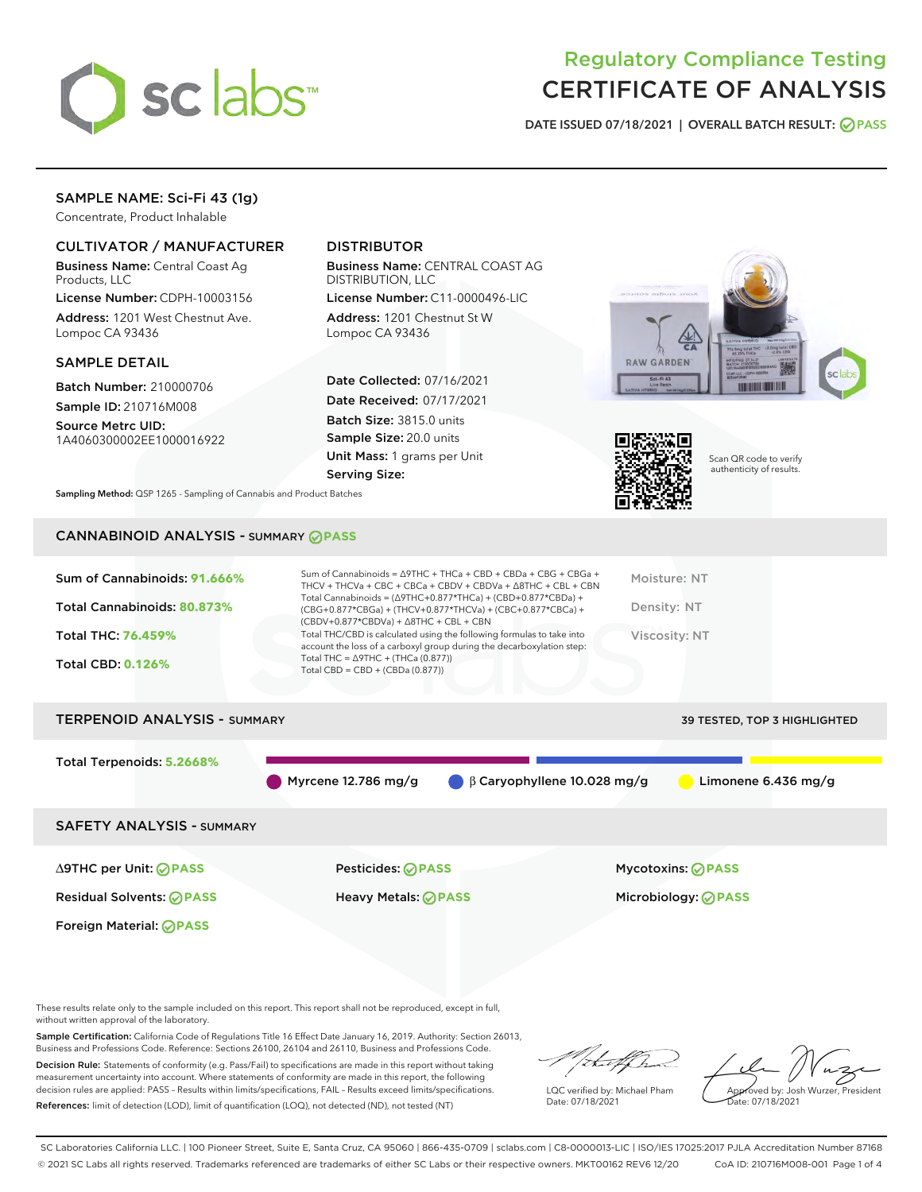

# Regulatory Compliance Testing CERTIFICATE OF ANALYSIS

DATE ISSUED 07/18/2021 | OVERALL BATCH RESULT: @ PASS

# SAMPLE NAME: Sci-Fi 43 (1g)

Concentrate, Product Inhalable

# CULTIVATOR / MANUFACTURER

Business Name: Central Coast Ag Products, LLC

License Number: CDPH-10003156 Address: 1201 West Chestnut Ave. Lompoc CA 93436

#### SAMPLE DETAIL

Batch Number: 210000706 Sample ID: 210716M008

Source Metrc UID: 1A4060300002EE1000016922

# DISTRIBUTOR

Business Name: CENTRAL COAST AG DISTRIBUTION, LLC

License Number: C11-0000496-LIC Address: 1201 Chestnut St W Lompoc CA 93436

Date Collected: 07/16/2021 Date Received: 07/17/2021 Batch Size: 3815.0 units Sample Size: 20.0 units Unit Mass: 1 grams per Unit Serving Size:





Scan QR code to verify authenticity of results.

Sampling Method: QSP 1265 - Sampling of Cannabis and Product Batches

### CANNABINOID ANALYSIS - SUMMARY **PASS**

| Total THC/CBD is calculated using the following formulas to take into<br>Total THC: 76.459%<br>Viscosity: NT<br>account the loss of a carboxyl group during the decarboxylation step:<br>Total THC = $\triangle$ 9THC + (THCa (0.877))<br><b>Total CBD: 0.126%</b> | Sum of Cannabinoids: 91.666%<br>Total Cannabinoids: 80.873% | Sum of Cannabinoids = $\triangle$ 9THC + THCa + CBD + CBDa + CBG + CBGa +<br>THCV + THCVa + CBC + CBCa + CBDV + CBDVa + $\Delta$ 8THC + CBL + CBN<br>Total Cannabinoids = $(\Delta 9THC + 0.877*THCa) + (CBD + 0.877*CBDa) +$<br>(CBG+0.877*CBGa) + (THCV+0.877*THCVa) + (CBC+0.877*CBCa) +<br>$(CBDV+0.877*CBDVa) + \Delta 8THC + CBL + CBN$ | Moisture: NT<br>Density: NT |
|--------------------------------------------------------------------------------------------------------------------------------------------------------------------------------------------------------------------------------------------------------------------|-------------------------------------------------------------|-----------------------------------------------------------------------------------------------------------------------------------------------------------------------------------------------------------------------------------------------------------------------------------------------------------------------------------------------|-----------------------------|
|                                                                                                                                                                                                                                                                    |                                                             | Total CBD = $CBD + (CBDa (0.877))$                                                                                                                                                                                                                                                                                                            |                             |

# TERPENOID ANALYSIS - SUMMARY 39 TESTED, TOP 3 HIGHLIGHTED Total Terpenoids: **5.2668%** Myrcene 12.786 mg/g β Caryophyllene 10.028 mg/g Limonene 6.436 mg/g SAFETY ANALYSIS - SUMMARY

Foreign Material: **PASS**

∆9THC per Unit: **PASS** Pesticides: **PASS** Mycotoxins: **PASS**

Residual Solvents: **PASS** Heavy Metals: **PASS** Microbiology: **PASS**

These results relate only to the sample included on this report. This report shall not be reproduced, except in full, without written approval of the laboratory.

Sample Certification: California Code of Regulations Title 16 Effect Date January 16, 2019. Authority: Section 26013, Business and Professions Code. Reference: Sections 26100, 26104 and 26110, Business and Professions Code.

Decision Rule: Statements of conformity (e.g. Pass/Fail) to specifications are made in this report without taking measurement uncertainty into account. Where statements of conformity are made in this report, the following decision rules are applied: PASS – Results within limits/specifications, FAIL – Results exceed limits/specifications. References: limit of detection (LOD), limit of quantification (LOQ), not detected (ND), not tested (NT)

that f Tr

LQC verified by: Michael Pham Date: 07/18/2021

Approved by: Josh Wurzer, President ate: 07/18/2021

SC Laboratories California LLC. | 100 Pioneer Street, Suite E, Santa Cruz, CA 95060 | 866-435-0709 | sclabs.com | C8-0000013-LIC | ISO/IES 17025:2017 PJLA Accreditation Number 87168 © 2021 SC Labs all rights reserved. Trademarks referenced are trademarks of either SC Labs or their respective owners. MKT00162 REV6 12/20 CoA ID: 210716M008-001 Page 1 of 4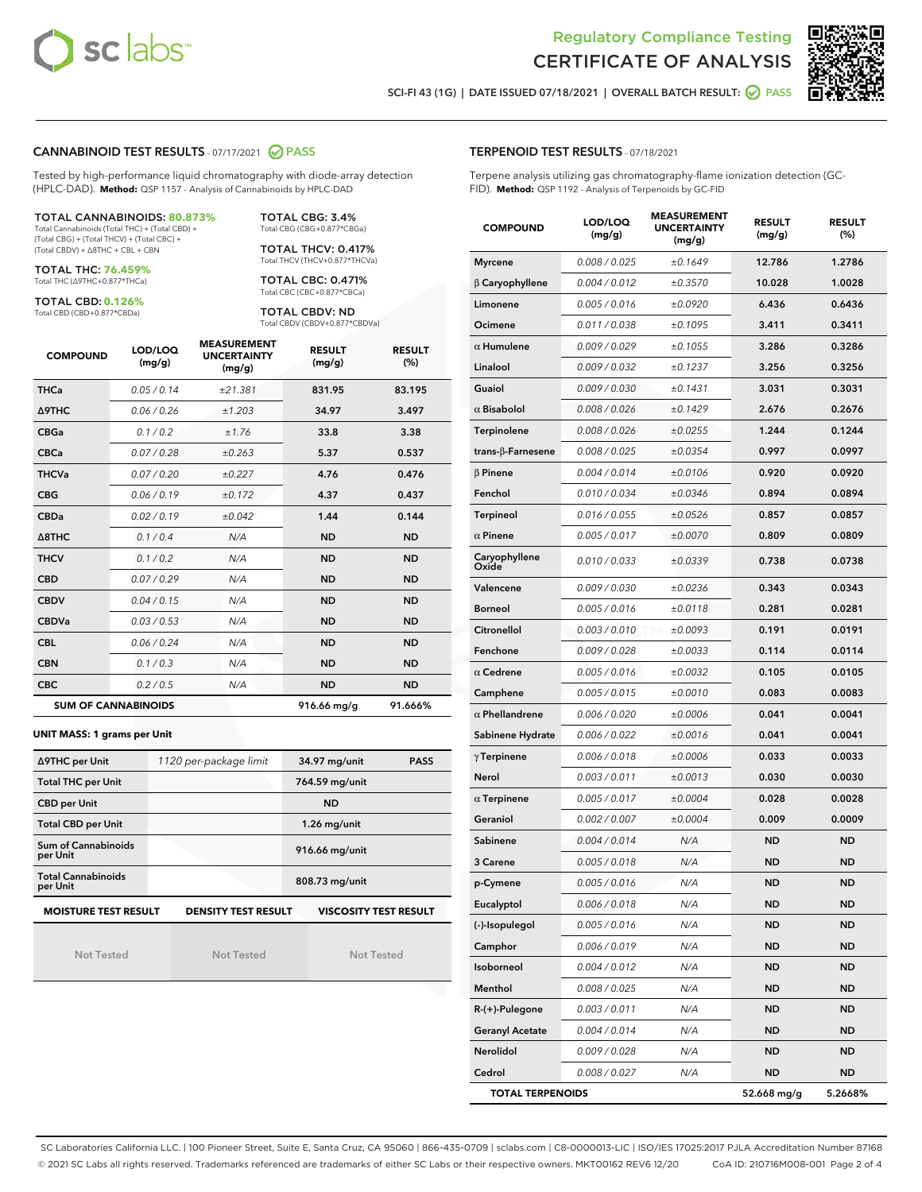



SCI-FI 43 (1G) | DATE ISSUED 07/18/2021 | OVERALL BATCH RESULT: 0 PASS

#### CANNABINOID TEST RESULTS - 07/17/2021 2 PASS

Tested by high-performance liquid chromatography with diode-array detection (HPLC-DAD). **Method:** QSP 1157 - Analysis of Cannabinoids by HPLC-DAD

TOTAL CANNABINOIDS: **80.873%** Total Cannabinoids (Total THC) + (Total CBD) +

(Total CBG) + (Total THCV) + (Total CBC) + (Total CBDV) + ∆8THC + CBL + CBN

TOTAL THC: **76.459%** Total THC (∆9THC+0.877\*THCa)

TOTAL CBD: **0.126%**

Total CBD (CBD+0.877\*CBDa)

TOTAL CBG: 3.4% Total CBG (CBG+0.877\*CBGa)

TOTAL THCV: 0.417% Total THCV (THCV+0.877\*THCVa)

TOTAL CBC: 0.471% Total CBC (CBC+0.877\*CBCa)

TOTAL CBDV: ND Total CBDV (CBDV+0.877\*CBDVa)

| <b>COMPOUND</b> | LOD/LOQ<br>(mg/g)          | <b>MEASUREMENT</b><br><b>UNCERTAINTY</b><br>(mg/g) | <b>RESULT</b><br>(mg/g) | <b>RESULT</b><br>(%) |
|-----------------|----------------------------|----------------------------------------------------|-------------------------|----------------------|
| <b>THCa</b>     | 0.05/0.14                  | ±21.381                                            | 831.95                  | 83.195               |
| <b>A9THC</b>    | 0.06 / 0.26                | ±1.203                                             | 34.97                   | 3.497                |
| <b>CBGa</b>     | 0.1/0.2                    | ±1.76                                              | 33.8                    | 3.38                 |
| <b>CBCa</b>     | 0.07 / 0.28                | ±0.263                                             | 5.37                    | 0.537                |
| <b>THCVa</b>    | 0.07/0.20                  | ±0.227                                             | 4.76                    | 0.476                |
| <b>CBG</b>      | 0.06/0.19                  | ±0.172                                             | 4.37                    | 0.437                |
| <b>CBDa</b>     | 0.02/0.19                  | ±0.042                                             | 1.44                    | 0.144                |
| A8THC           | 0.1/0.4                    | N/A                                                | <b>ND</b>               | <b>ND</b>            |
| <b>THCV</b>     | 0.1/0.2                    | N/A                                                | <b>ND</b>               | <b>ND</b>            |
| <b>CBD</b>      | 0.07/0.29                  | N/A                                                | <b>ND</b>               | <b>ND</b>            |
| <b>CBDV</b>     | 0.04 / 0.15                | N/A                                                | <b>ND</b>               | <b>ND</b>            |
| <b>CBDVa</b>    | 0.03/0.53                  | N/A                                                | <b>ND</b>               | <b>ND</b>            |
| <b>CBL</b>      | 0.06 / 0.24                | N/A                                                | <b>ND</b>               | <b>ND</b>            |
| <b>CBN</b>      | 0.1/0.3                    | N/A                                                | <b>ND</b>               | <b>ND</b>            |
| <b>CBC</b>      | 0.2 / 0.5                  | N/A                                                | <b>ND</b>               | <b>ND</b>            |
|                 | <b>SUM OF CANNABINOIDS</b> |                                                    | 916.66 mg/g             | 91.666%              |

**UNIT MASS: 1 grams per Unit**

| ∆9THC per Unit                        | 1120 per-package limit                                                                    | 34.97 mg/unit<br><b>PASS</b> |  |  |  |  |
|---------------------------------------|-------------------------------------------------------------------------------------------|------------------------------|--|--|--|--|
| <b>Total THC per Unit</b>             |                                                                                           | 764.59 mg/unit               |  |  |  |  |
| <b>CBD</b> per Unit                   |                                                                                           | <b>ND</b>                    |  |  |  |  |
| <b>Total CBD per Unit</b>             |                                                                                           | $1.26$ mg/unit               |  |  |  |  |
| Sum of Cannabinoids<br>per Unit       |                                                                                           | 916.66 mg/unit               |  |  |  |  |
| <b>Total Cannabinoids</b><br>per Unit |                                                                                           | 808.73 mg/unit               |  |  |  |  |
|                                       | <b>MOISTURE TEST RESULT</b><br><b>VISCOSITY TEST RESULT</b><br><b>DENSITY TEST RESULT</b> |                              |  |  |  |  |

Not Tested

Not Tested

Not Tested

| <b>TERPENOID TEST RESULTS - 07/18/2021</b> |  |
|--------------------------------------------|--|
|--------------------------------------------|--|

Terpene analysis utilizing gas chromatography-flame ionization detection (GC-FID). **Method:** QSP 1192 - Analysis of Terpenoids by GC-FID

| <b>COMPOUND</b>         | LOD/LOQ<br>(mg/g) | <b>MEASUREMENT</b><br><b>UNCERTAINTY</b><br>(mg/g) | <b>RESULT</b><br>(mg/g) | <b>RESULT</b><br>$(\%)$ |
|-------------------------|-------------------|----------------------------------------------------|-------------------------|-------------------------|
| <b>Myrcene</b>          | 0.008 / 0.025     | ±0.1649                                            | 12.786                  | 1.2786                  |
| $\beta$ Caryophyllene   | 0.004 / 0.012     | ±0.3570                                            | 10.028                  | 1.0028                  |
| Limonene                | 0.005 / 0.016     | ±0.0920                                            | 6.436                   | 0.6436                  |
| Ocimene                 | 0.011 / 0.038     | ±0.1095                                            | 3.411                   | 0.3411                  |
| $\alpha$ Humulene       | 0.009/0.029       | ±0.1055                                            | 3.286                   | 0.3286                  |
| Linalool                | 0.009/0.032       | ±0.1237                                            | 3.256                   | 0.3256                  |
| Guaiol                  | 0.009 / 0.030     | ±0.1431                                            | 3.031                   | 0.3031                  |
| $\alpha$ Bisabolol      | 0.008 / 0.026     | ±0.1429                                            | 2.676                   | 0.2676                  |
| Terpinolene             | 0.008 / 0.026     | ±0.0255                                            | 1.244                   | 0.1244                  |
| trans-β-Farnesene       | 0.008 / 0.025     | ±0.0354                                            | 0.997                   | 0.0997                  |
| $\beta$ Pinene          | 0.004 / 0.014     | ±0.0106                                            | 0.920                   | 0.0920                  |
| Fenchol                 | 0.010 / 0.034     | ±0.0346                                            | 0.894                   | 0.0894                  |
| Terpineol               | 0.016 / 0.055     | ±0.0526                                            | 0.857                   | 0.0857                  |
| $\alpha$ Pinene         | 0.005 / 0.017     | ±0.0070                                            | 0.809                   | 0.0809                  |
| Caryophyllene<br>Oxide  | 0.010 / 0.033     | ±0.0339                                            | 0.738                   | 0.0738                  |
| Valencene               | 0.009 / 0.030     | ±0.0236                                            | 0.343                   | 0.0343                  |
| <b>Borneol</b>          | 0.005 / 0.016     | ±0.0118                                            | 0.281                   | 0.0281                  |
| Citronellol             | 0.003 / 0.010     | ±0.0093                                            | 0.191                   | 0.0191                  |
| Fenchone                | 0.009 / 0.028     | ±0.0033                                            | 0.114                   | 0.0114                  |
| $\alpha$ Cedrene        | 0.005 / 0.016     | ±0.0032                                            | 0.105                   | 0.0105                  |
| Camphene                | 0.005 / 0.015     | ±0.0010                                            | 0.083                   | 0.0083                  |
| $\alpha$ Phellandrene   | 0.006 / 0.020     | ±0.0006                                            | 0.041                   | 0.0041                  |
| Sabinene Hydrate        | 0.006 / 0.022     | ±0.0016                                            | 0.041                   | 0.0041                  |
| $\gamma$ Terpinene      | 0.006 / 0.018     | ±0.0006                                            | 0.033                   | 0.0033                  |
| Nerol                   | 0.003 / 0.011     | ±0.0013                                            | 0.030                   | 0.0030                  |
| $\alpha$ Terpinene      | 0.005 / 0.017     | ±0.0004                                            | 0.028                   | 0.0028                  |
| Geraniol                | 0.002 / 0.007     | ±0.0004                                            | 0.009                   | 0.0009                  |
| Sabinene                | 0.004 / 0.014     | N/A                                                | <b>ND</b>               | <b>ND</b>               |
| 3 Carene                | 0.005 / 0.018     | N/A                                                | ND                      | <b>ND</b>               |
| p-Cymene                | 0.005 / 0.016     | N/A                                                | <b>ND</b>               | <b>ND</b>               |
| Eucalyptol              | 0.006 / 0.018     | N/A                                                | ND                      | <b>ND</b>               |
| (-)-Isopulegol          | 0.005 / 0.016     | N/A                                                | ND                      | ND                      |
| Camphor                 | 0.006 / 0.019     | N/A                                                | ND                      | <b>ND</b>               |
| Isoborneol              | 0.004 / 0.012     | N/A                                                | ND                      | <b>ND</b>               |
| Menthol                 | 0.008 / 0.025     | N/A                                                | ND                      | ND                      |
| R-(+)-Pulegone          | 0.003 / 0.011     | N/A                                                | ND                      | ND                      |
| <b>Geranyl Acetate</b>  | 0.004 / 0.014     | N/A                                                | ND                      | <b>ND</b>               |
| Nerolidol               | 0.009 / 0.028     | N/A                                                | ND                      | ND                      |
| Cedrol                  | 0.008 / 0.027     | N/A                                                | ND                      | <b>ND</b>               |
| <b>TOTAL TERPENOIDS</b> |                   |                                                    | 52.668 mg/g             | 5.2668%                 |

SC Laboratories California LLC. | 100 Pioneer Street, Suite E, Santa Cruz, CA 95060 | 866-435-0709 | sclabs.com | C8-0000013-LIC | ISO/IES 17025:2017 PJLA Accreditation Number 87168 © 2021 SC Labs all rights reserved. Trademarks referenced are trademarks of either SC Labs or their respective owners. MKT00162 REV6 12/20 CoA ID: 210716M008-001 Page 2 of 4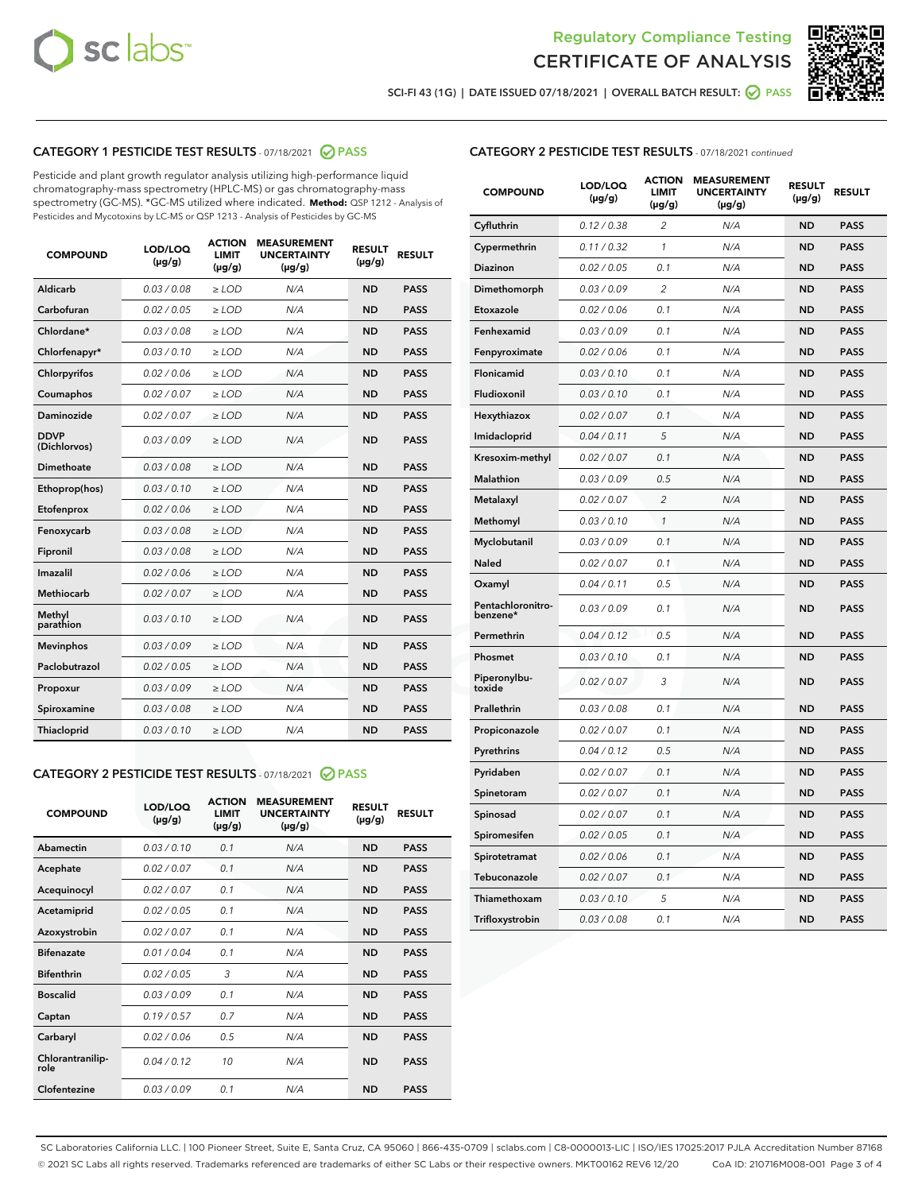



SCI-FI 43 (1G) | DATE ISSUED 07/18/2021 | OVERALL BATCH RESULT: O PASS

# CATEGORY 1 PESTICIDE TEST RESULTS - 07/18/2021 2 PASS

Pesticide and plant growth regulator analysis utilizing high-performance liquid chromatography-mass spectrometry (HPLC-MS) or gas chromatography-mass spectrometry (GC-MS). \*GC-MS utilized where indicated. **Method:** QSP 1212 - Analysis of Pesticides and Mycotoxins by LC-MS or QSP 1213 - Analysis of Pesticides by GC-MS

| <b>COMPOUND</b>             | LOD/LOQ<br>$(\mu g/g)$ | <b>ACTION</b><br><b>LIMIT</b><br>$(\mu g/g)$ | <b>MEASUREMENT</b><br><b>UNCERTAINTY</b><br>$(\mu g/g)$ | <b>RESULT</b><br>$(\mu g/g)$ | <b>RESULT</b> |
|-----------------------------|------------------------|----------------------------------------------|---------------------------------------------------------|------------------------------|---------------|
| Aldicarb                    | 0.03 / 0.08            | $\ge$ LOD                                    | N/A                                                     | <b>ND</b>                    | <b>PASS</b>   |
| Carbofuran                  | 0.02 / 0.05            | $\ge$ LOD                                    | N/A                                                     | <b>ND</b>                    | <b>PASS</b>   |
| Chlordane*                  | 0.03 / 0.08            | $\ge$ LOD                                    | N/A                                                     | <b>ND</b>                    | <b>PASS</b>   |
| Chlorfenapyr*               | 0.03/0.10              | $\ge$ LOD                                    | N/A                                                     | <b>ND</b>                    | <b>PASS</b>   |
| Chlorpyrifos                | 0.02 / 0.06            | $\ge$ LOD                                    | N/A                                                     | <b>ND</b>                    | <b>PASS</b>   |
| Coumaphos                   | 0.02 / 0.07            | $\ge$ LOD                                    | N/A                                                     | <b>ND</b>                    | <b>PASS</b>   |
| Daminozide                  | 0.02 / 0.07            | $\ge$ LOD                                    | N/A                                                     | <b>ND</b>                    | <b>PASS</b>   |
| <b>DDVP</b><br>(Dichlorvos) | 0.03/0.09              | $\ge$ LOD                                    | N/A                                                     | <b>ND</b>                    | <b>PASS</b>   |
| Dimethoate                  | 0.03 / 0.08            | $\ge$ LOD                                    | N/A                                                     | <b>ND</b>                    | <b>PASS</b>   |
| Ethoprop(hos)               | 0.03/0.10              | $\ge$ LOD                                    | N/A                                                     | <b>ND</b>                    | <b>PASS</b>   |
| Etofenprox                  | 0.02/0.06              | $>$ LOD                                      | N/A                                                     | <b>ND</b>                    | <b>PASS</b>   |
| Fenoxycarb                  | 0.03 / 0.08            | $>$ LOD                                      | N/A                                                     | <b>ND</b>                    | <b>PASS</b>   |
| Fipronil                    | 0.03 / 0.08            | $>$ LOD                                      | N/A                                                     | <b>ND</b>                    | <b>PASS</b>   |
| Imazalil                    | 0.02 / 0.06            | $\ge$ LOD                                    | N/A                                                     | <b>ND</b>                    | <b>PASS</b>   |
| <b>Methiocarb</b>           | 0.02 / 0.07            | $\ge$ LOD                                    | N/A                                                     | <b>ND</b>                    | <b>PASS</b>   |
| Methyl<br>parathion         | 0.03/0.10              | $\ge$ LOD                                    | N/A                                                     | <b>ND</b>                    | <b>PASS</b>   |
| <b>Mevinphos</b>            | 0.03/0.09              | $\ge$ LOD                                    | N/A                                                     | <b>ND</b>                    | <b>PASS</b>   |
| Paclobutrazol               | 0.02 / 0.05            | $\ge$ LOD                                    | N/A                                                     | <b>ND</b>                    | <b>PASS</b>   |
| Propoxur                    | 0.03/0.09              | $\ge$ LOD                                    | N/A                                                     | <b>ND</b>                    | <b>PASS</b>   |
| Spiroxamine                 | 0.03 / 0.08            | $\ge$ LOD                                    | N/A                                                     | <b>ND</b>                    | <b>PASS</b>   |
| Thiacloprid                 | 0.03/0.10              | $\ge$ LOD                                    | N/A                                                     | <b>ND</b>                    | <b>PASS</b>   |

#### CATEGORY 2 PESTICIDE TEST RESULTS - 07/18/2021 @ PASS

| <b>COMPOUND</b>          | LOD/LOO<br>$(\mu g/g)$ | <b>ACTION</b><br>LIMIT<br>$(\mu g/g)$ | <b>MEASUREMENT</b><br><b>UNCERTAINTY</b><br>$(\mu g/g)$ | <b>RESULT</b><br>$(\mu g/g)$ | <b>RESULT</b> |  |
|--------------------------|------------------------|---------------------------------------|---------------------------------------------------------|------------------------------|---------------|--|
| Abamectin                | 0.03/0.10              | 0.1                                   | N/A                                                     | <b>ND</b>                    | <b>PASS</b>   |  |
| Acephate                 | 0.02/0.07              | 0.1                                   | N/A                                                     | <b>ND</b>                    | <b>PASS</b>   |  |
| Acequinocyl              | 0.02/0.07              | 0.1                                   | N/A                                                     | <b>ND</b>                    | <b>PASS</b>   |  |
| Acetamiprid              | 0.02/0.05              | 0.1                                   | N/A                                                     | <b>ND</b>                    | <b>PASS</b>   |  |
| Azoxystrobin             | 0.02/0.07              | 0.1                                   | N/A                                                     | <b>ND</b>                    | <b>PASS</b>   |  |
| <b>Bifenazate</b>        | 0.01 / 0.04            | 0.1                                   | N/A                                                     | <b>ND</b>                    | <b>PASS</b>   |  |
| <b>Bifenthrin</b>        | 0.02/0.05              | 3                                     | N/A                                                     | <b>ND</b>                    | <b>PASS</b>   |  |
| <b>Boscalid</b>          | 0.03/0.09              | 0.1                                   | N/A                                                     | <b>ND</b>                    | <b>PASS</b>   |  |
| Captan                   | 0.19/0.57              | 0.7                                   | N/A                                                     | <b>ND</b>                    | <b>PASS</b>   |  |
| Carbaryl                 | 0.02/0.06              | 0.5                                   | N/A                                                     | <b>ND</b>                    | <b>PASS</b>   |  |
| Chlorantranilip-<br>role | 0.04/0.12              | 10                                    | N/A                                                     | <b>ND</b>                    | <b>PASS</b>   |  |
| Clofentezine             | 0.03/0.09              | 0.1                                   | N/A                                                     | <b>ND</b>                    | <b>PASS</b>   |  |

| <b>CATEGORY 2 PESTICIDE TEST RESULTS</b> - 07/18/2021 continued |  |  |
|-----------------------------------------------------------------|--|--|
|                                                                 |  |  |

| <b>COMPOUND</b>               | LOD/LOQ<br>(µg/g) | <b>ACTION</b><br><b>LIMIT</b><br>(µg/g) | <b>MEASUREMENT</b><br><b>UNCERTAINTY</b><br>$(\mu g/g)$ | <b>RESULT</b><br>(µg/g) | <b>RESULT</b> |
|-------------------------------|-------------------|-----------------------------------------|---------------------------------------------------------|-------------------------|---------------|
| Cyfluthrin                    | 0.12 / 0.38       | $\overline{c}$                          | N/A                                                     | <b>ND</b>               | <b>PASS</b>   |
| Cypermethrin                  | 0.11 / 0.32       | 1                                       | N/A                                                     | <b>ND</b>               | <b>PASS</b>   |
| <b>Diazinon</b>               | 0.02 / 0.05       | 0.1                                     | N/A                                                     | <b>ND</b>               | <b>PASS</b>   |
| Dimethomorph                  | 0.03 / 0.09       | 2                                       | N/A                                                     | <b>ND</b>               | <b>PASS</b>   |
| Etoxazole                     | 0.02 / 0.06       | 0.1                                     | N/A                                                     | <b>ND</b>               | <b>PASS</b>   |
| Fenhexamid                    | 0.03 / 0.09       | 0.1                                     | N/A                                                     | <b>ND</b>               | <b>PASS</b>   |
| Fenpyroximate                 | 0.02 / 0.06       | 0.1                                     | N/A                                                     | <b>ND</b>               | <b>PASS</b>   |
| Flonicamid                    | 0.03 / 0.10       | 0.1                                     | N/A                                                     | <b>ND</b>               | <b>PASS</b>   |
| Fludioxonil                   | 0.03 / 0.10       | 0.1                                     | N/A                                                     | <b>ND</b>               | <b>PASS</b>   |
| Hexythiazox                   | 0.02 / 0.07       | 0.1                                     | N/A                                                     | <b>ND</b>               | <b>PASS</b>   |
| Imidacloprid                  | 0.04 / 0.11       | 5                                       | N/A                                                     | <b>ND</b>               | <b>PASS</b>   |
| Kresoxim-methyl               | 0.02 / 0.07       | 0.1                                     | N/A                                                     | <b>ND</b>               | <b>PASS</b>   |
| <b>Malathion</b>              | 0.03 / 0.09       | 0.5                                     | N/A                                                     | <b>ND</b>               | <b>PASS</b>   |
| Metalaxyl                     | 0.02 / 0.07       | $\overline{2}$                          | N/A                                                     | <b>ND</b>               | <b>PASS</b>   |
| Methomyl                      | 0.03 / 0.10       | 1                                       | N/A                                                     | <b>ND</b>               | <b>PASS</b>   |
| Myclobutanil                  | 0.03 / 0.09       | 0.1                                     | N/A                                                     | <b>ND</b>               | <b>PASS</b>   |
| Naled                         | 0.02 / 0.07       | 0.1                                     | N/A                                                     | <b>ND</b>               | <b>PASS</b>   |
| Oxamyl                        | 0.04 / 0.11       | 0.5                                     | N/A                                                     | <b>ND</b>               | <b>PASS</b>   |
| Pentachloronitro-<br>benzene* | 0.03 / 0.09       | 0.1                                     | N/A                                                     | <b>ND</b>               | <b>PASS</b>   |
| Permethrin                    | 0.04 / 0.12       | 0.5                                     | N/A                                                     | <b>ND</b>               | <b>PASS</b>   |
| Phosmet                       | 0.03 / 0.10       | 0.1                                     | N/A                                                     | <b>ND</b>               | <b>PASS</b>   |
| Piperonylbu-<br>toxide        | 0.02 / 0.07       | 3                                       | N/A                                                     | <b>ND</b>               | <b>PASS</b>   |
| Prallethrin                   | 0.03 / 0.08       | 0.1                                     | N/A                                                     | <b>ND</b>               | <b>PASS</b>   |
| Propiconazole                 | 0.02 / 0.07       | 0.1                                     | N/A                                                     | <b>ND</b>               | <b>PASS</b>   |
| Pyrethrins                    | 0.04 / 0.12       | 0.5                                     | N/A                                                     | <b>ND</b>               | <b>PASS</b>   |
| Pyridaben                     | 0.02 / 0.07       | 0.1                                     | N/A                                                     | <b>ND</b>               | <b>PASS</b>   |
| Spinetoram                    | 0.02 / 0.07       | 0.1                                     | N/A                                                     | <b>ND</b>               | <b>PASS</b>   |
| Spinosad                      | 0.02 / 0.07       | 0.1                                     | N/A                                                     | <b>ND</b>               | <b>PASS</b>   |
| Spiromesifen                  | 0.02 / 0.05       | 0.1                                     | N/A                                                     | <b>ND</b>               | <b>PASS</b>   |
| Spirotetramat                 | 0.02 / 0.06       | 0.1                                     | N/A                                                     | <b>ND</b>               | <b>PASS</b>   |
| Tebuconazole                  | 0.02 / 0.07       | 0.1                                     | N/A                                                     | ND                      | <b>PASS</b>   |
| Thiamethoxam                  | 0.03 / 0.10       | 5                                       | N/A                                                     | <b>ND</b>               | <b>PASS</b>   |
| Trifloxystrobin               | 0.03 / 0.08       | 0.1                                     | N/A                                                     | <b>ND</b>               | <b>PASS</b>   |

SC Laboratories California LLC. | 100 Pioneer Street, Suite E, Santa Cruz, CA 95060 | 866-435-0709 | sclabs.com | C8-0000013-LIC | ISO/IES 17025:2017 PJLA Accreditation Number 87168 © 2021 SC Labs all rights reserved. Trademarks referenced are trademarks of either SC Labs or their respective owners. MKT00162 REV6 12/20 CoA ID: 210716M008-001 Page 3 of 4